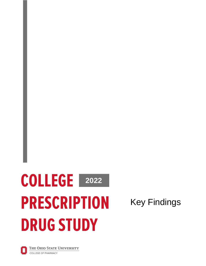# **2022 2022 PRESCRIPTION DRUG STUDY**

Key Findings

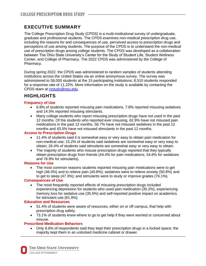## **EXECUTIVE SUMMARY**

The College Prescription Drug Study (CPDS) is a multi-institutional survey of undergraduate, graduate and professional students. The CPDS examines non-medical prescription drug use, including the reasons for and consequences of use, perceived access to prescription drugs and perceptions of use among students. The purpose of the CPDS is to understand the non-medical use of prescription drugs among college students. The CPDS was developed as a collaboration between The Ohio State University's Center for the Study of Student Life, Student Wellness Center, and College of Pharmacy. The 2022 CPDS was administered by the College of Pharmacy.

During spring 2022, the CPDS was administered to random samples of students attending institutions across the United States via an online anonymous survey. The survey was administered to 58,000 students at the 15 participating institutions; 6,510 students responded for a response rate of 11.22%. More information on the study is available by contacting the CPDS team at [rxstudy@osu.edu.](mailto:rxstudy@osu.edu)

# **HIGHLIGHTS**

## **Frequency of Use**

- 6.8% of students reported misusing pain medications, 7.8% reported misusing sedatives and 14.5% reported misusing stimulants.
- Many college students who report misusing prescription drugs have not used in the past 12 months. Of the students who reported ever misusing, 62.9% have not misused pain medications in the past 12 months, 56.7% have not misused sedatives in the past 12 months and 43.5% have not misused stimulants in the past 12 months.

#### **Access to Prescription Drugs**

- 11.4% of students said it is somewhat easy or very easy to obtain pain medication for non-medical use; 15.2% of students said sedatives are somewhat easy or very easy to obtain; 26.4% of students said stimulants are somewhat easy or very easy to obtain.
- The majority of students who misuse prescription drugs reported that they typically obtain prescription drugs from friends (44.0% for pain medications, 54.6% for sedatives and 76.9% for stimulants).

### **Reasons for Use**

• The most common reasons students reported misusing pain medications were to get high (46.0%) and to relieve pain (40.8%); sedatives were to relieve anxiety (50.8%) and to get to sleep (47.3%); and stimulants were to study or improve grades (76.1%).

### **Consequences of Use**

• The most frequently reported effects of misusing prescription drugs included experiencing depression for students who used pain medication (35.2%), experiencing memory loss for sedative use (35.5%) and self-reported positive impact on academics for stimulant use (61.9%).

### **Education and Resources**

- 51.4% of students were aware of resources, either on or off campus, that help with prescription drug safety.
- 73.1% of students knew where to go to get help if they were worried or concerned about misuse.

## **Prescribed Medication Behaviors**

• Only 8.6% of respondents said they kept their prescription drugs in a locked space; the majority kept them in an unlocked medicine cabinet or drawer.

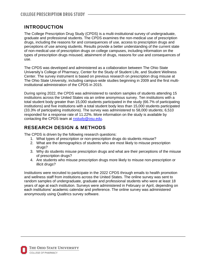## **INTRODUCTION**

The College Prescription Drug Study (CPDS) is a multi-institutional survey of undergraduate, graduate and professional students. The CPDS examines the non-medical use of prescription drugs, including the reasons for and consequences of use, access to prescription drugs and perceptions of use among students. Results provide a better understanding of the current state of non-medical use of prescription drugs on college campuses, including information on the types of prescription drugs misused, attainment of drugs, reasons for use and consequences of use.

The CPDS was developed and administered as a collaboration between The Ohio State University's College of Pharmacy, Center for the Study of Student Life, and Student Wellness Center. The survey instrument is based on previous research on prescription drug misuse at The Ohio State University, including campus-wide studies beginning in 2009 and the first multiinstitutional administration of the CPDS in 2015.

During spring 2022, the CPDS was administered to random samples of students attending 15 institutions across the United States via an online anonymous survey. Ten institutions with a total student body greater than 15,000 students participated in the study (66.7% of participating institutions) and five institutions with a total student body less than 15,000 students participated (33.3% of participating institutions). The survey was administered to 58,000 students; 6,510 responded for a response rate of 11.22%. More information on the study is available by contacting the CPDS team at [rxstudy@osu.edu.](mailto:rxstudy@osu.edu)

## **RESEARCH DESIGN & METHODS**

The CPDS is driven by the following research questions:

- 1. What types of prescription or non-prescription drugs do students misuse?
- 2. What are the demographics of students who are most likely to misuse prescription drugs?
- 3. Why do students misuse prescription drugs and what are their perceptions of the misuse of prescription drugs?
- 4. Are students who misuse prescription drugs more likely to misuse non-prescription or illicit drugs?

Institutions were recruited to participate in the 2022 CPDS through emails to health promotion and wellness staff from institutions across the United States. The online survey was sent to random samples of undergraduate, graduate and professional students who were at least 18 years of age at each institution. Surveys were administered in February or April, depending on each institutions' academic calendar and preference. The online survey was administered anonymously using Qualtrics survey software.

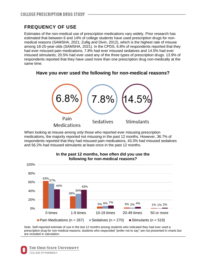## **FREQUENCY OF USE**

Estimates of the non-medical use of prescription medications vary widely. Prior research has estimated that between 6 and 14% of college students have used prescription drugs for nonmedical reasons (SAMSHA, 2021; Zullig and Divin, 2012), which is the highest rate of misuse among 18-25-year-olds (SAMSHA, 2021). In the CPDS, 6.8% of respondents reported that they had ever misused pain medications, 7.8% had ever misused sedatives and 14.5% had ever misused stimulants; 20.5% had ever used any of the three types of prescription drugs. 13.9% of respondents reported that they have used more than one prescription drug non-medically at the same time.

## **Have you ever used the following for non-medical reasons?**



When looking at misuse among *only* those who reported ever misusing prescription medications, the majority reported not misusing in the past 12 months. However, 36.7% of respondents reported that they had misused pain medications, 43.3% had misused sedatives and 56.2% had misused stimulants at least once in the past 12 months.



#### **In the past 12 months, how often did you use the following for non-medical reasons?**

*Note*. Self-reported estimate of use in the last 12 months among students who indicated they had ever used a prescription drug for non-medical reasons; students who responded "prefer not to say" are not presented in charts but are included in calculation.

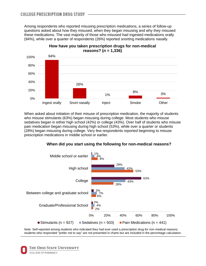Among respondents who reported misusing prescription medications, a series of follow-up questions asked about how they misused, when they began misusing and why they misused these medications. The vast majority of those who misused had ingested medications orally (94%), while over a quarter of respondents (26%) reported snorting medications nasally.



When asked about initiation of their misuse of prescription medication, the majority of students who misuse stimulants (63%) began misusing during college. Most students who misuse sedatives began in either high school (42%) or college (43%). Over half of students who misuse pain medication began misusing during high school (53%), while over a quarter or students (28%) began misusing during college. Very few respondents reported beginning to misuse prescription medications in middle school or earlier.





*Note*. Self-reported among students who indicated they had ever used a prescription drug for non-medical reasons; students who responded "prefer not to say" are not presented in charts but are included in the percentage calculation.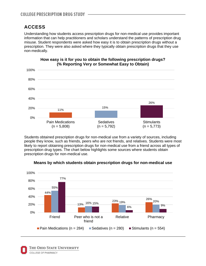# **ACCESS**

Understanding how students access prescription drugs for non-medical use provides important information that can help practitioners and scholars understand the patterns of prescription drug misuse. Student respondents were asked how easy it is to obtain prescription drugs without a prescription. They were also asked where they typically obtain prescription drugs that they use non-medically.



**How easy is it for you to obtain the following prescription drugs? (% Reporting Very or Somewhat Easy to Obtain)**

Students obtained prescription drugs for non-medical use from a variety of sources, including people they know, such as friends, peers who are not friends, and relatives. Students were most likely to report obtaining prescription drugs for non-medical use from a friend across all types of prescription drug types. The chart below highlights some sources where students obtain prescription drugs for non-medical use.



### **Means by which students obtain prescription drugs for non-medical use**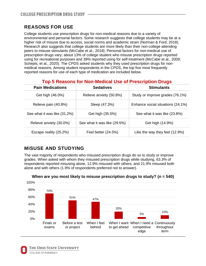# **REASONS FOR USE**

College students use prescription drugs for non-medical reasons due to a variety of environmental and personal factors. Some research suggests that college students may be at a higher risk of misuse due to access, social norms and academic strain (Norman & Ford, 2018). Research also suggests that college students are more likely than their non-college attending peers to misuse stimulants (McCabe et al., 2018). Personal factors for non-medical use of prescription drugs vary; about 13% of college student who misuse prescription drugs reported using for recreational purposes and 39% reported using for self-treatment (McCabe et al., 2009; Schepis, et al., 2020). The CPDS asked students why they used prescription drugs for nonmedical reasons. Among student respondents in the CPDS, the top five most frequently reported reasons for use of each type of medication are included below.

| <b>Top 5 Reasons for Non-Medical Use of Prescription Drugs</b> |  |  |  |
|----------------------------------------------------------------|--|--|--|
|                                                                |  |  |  |

| <b>Pain Medications</b>      | <b>Sedatives</b>             | <b>Stimulants</b>                 |  |
|------------------------------|------------------------------|-----------------------------------|--|
| Get high (46.0%)             | Relieve anxiety (50.8%)      | Study or improve grades (76.1%)   |  |
| Relieve pain (40.8%)         | Sleep (47.3%)                | Enhance social situations (24.1%) |  |
| See what it was like (31.2%) | Get high (35.5%)             | See what it was like (23.8%)      |  |
| Relieve anxiety (30.0%)      | See what it was like (29.5%) | Get high (14.9%)                  |  |
| Escape reality (25.2%)       | Feel better (24.5%)          | Like the way they feel (12.9%)    |  |

# **MISUSE AND STUDYING**

The vast majority of respondents who misused prescription drugs do so to study or improve grades. When asked with whom they misused prescription drugs while studying, 63.3% of respondents reported misusing alone, 12.9% misused with others, and 21.9% misused both alone and with others (1.9% of respondents preferred not to answer).



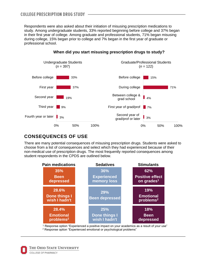Respondents were also asked about their initiation of misusing prescription medications to study. Among undergraduate students, 33% reported beginning before college and 37% began in their first year of college. Among graduate and professional students, 71% began misusing during college, 15% began prior to college and 7% began in the first year of graduate or professional school.



## **When did you start misusing prescription drugs to study?**

# **CONSEQUENCES OF USE**

There are many potential consequences of misusing prescription drugs. Students were asked to choose from a list of consequences and select which they had experienced because of their non-medical use of prescription drugs. The most frequently reported consequences among student respondents in the CPDS are outlined below.



<sup>1</sup> Response option "Experienced a positive impact on your academics as a result of your use" <sup>2</sup> Response option "Experienced emotional or psychological problems"

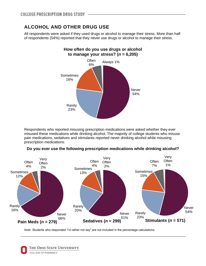# **ALCOHOL AND OTHER DRUG USE**

All respondents were asked if they used drugs or alcohol to manage their stress. More than half of respondents (54%) reported that they never use drugs or alcohol to manage their stress.



Respondents who reported misusing prescription medications were asked whether they ever misused these medications while drinking alcohol. The majority of college students who misuse pain medications, sedatives and stimulants reported never drinking alcohol while misusing prescription medications.





*Note.* Students who responded "I'd rather not say" are not included in the percentage calculations.

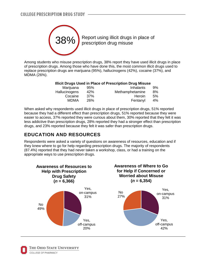

Among students who misuse prescription drugs, 38% report they have used illicit drugs in place of prescription drugs. Among those who have done this, the most common illicit drugs used to replace prescription drugs are marijuana (95%), hallucinogens (42%), cocaine (37%), and MDMA (26%).

#### **Illicit Drugs Used in Place of Prescription Drug Misuse**

| Marijuana     | 95% | Inhalants       | 9% |
|---------------|-----|-----------------|----|
| Hallucinogens | 42% | Methamphetamine | 8% |
| Cocaine       | 37% | Heroin          | 5% |
| MDMA          | 26% | Fentanyl        | 4% |
|               |     |                 |    |

When asked why respondents used illicit drugs in place of prescription drugs, 51% reported because they had a different effect than prescription drugs, 51% reported because they were easier to access, 37% reported they were curious about them, 30% reported that they felt it was less addictive than prescription drugs, 28% reported they had a stronger effect than prescription drugs, and 23% reported because they felt it was safer than prescription drugs.

# **EDUCATION AND RESOURCES**

Respondents were asked a variety of questions on awareness of resources, education and if they knew where to go for help regarding prescription drugs. The majority of respondents (87.4%) reported that they had never taken a workshop, class, or had a training on the appropriate ways to use prescription drugs.



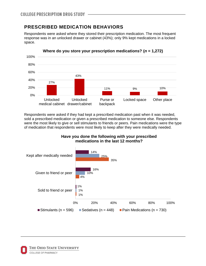# **PRESCRIBED MEDICATION BEHAVIORS**

Respondents were asked where they stored their prescription medication. The most frequent response was in an unlocked drawer or cabinet (43%); only 9% kept medications in a locked space.



Respondents were asked if they had kept a prescribed medication past when it was needed, sold a prescribed medication or given a prescribed medication to someone else. Respondents were the most likely to give or sell stimulants to friends or peers. Pain medications were the type of medication that respondents were most likely to keep after they were medically needed.

## **Have you done the following with your prescribed medications in the last 12 months?**